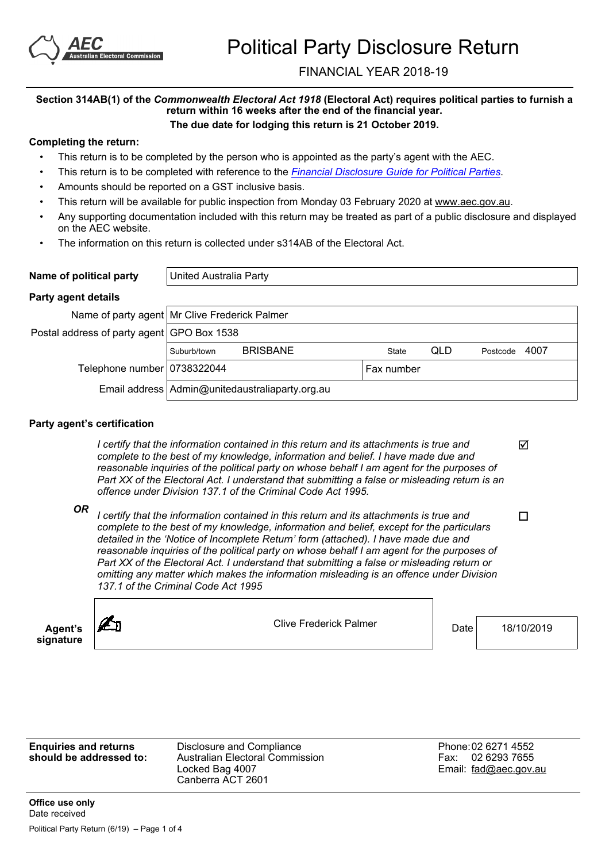

# FINANCIAL YEAR 2018-19

#### **Section 314AB(1) of the** *Commonwealth Electoral Act 1918* **(Electoral Act) requires political parties to furnish a return within 16 weeks after the end of the financial year. The due date for lodging this return is 21 October 2019.**

## **Completing the return:**

- This return is to be completed by the person who is appointed as the party's agent with the AEC.
- This return is to be completed with reference to the *[Financial](https://www.aec.gov.au/Parties_and_Representatives/financial_disclosure/guides/political-parties/index.htm) [Disclosure](https://www.aec.gov.au/Parties_and_Representatives/financial_disclosure/guides/political-parties/index.htm) [Guide](https://www.aec.gov.au/Parties_and_Representatives/financial_disclosure/guides/political-parties/index.htm) [for](https://www.aec.gov.au/Parties_and_Representatives/financial_disclosure/guides/political-parties/index.htm) [Political](https://www.aec.gov.au/Parties_and_Representatives/financial_disclosure/guides/political-parties/index.htm) [Parties](https://www.aec.gov.au/Parties_and_Representatives/financial_disclosure/guides/political-parties/index.htm)*.
- Amounts should be reported on a GST inclusive basis.
- This return will be available for public inspection from Monday 03 February 2020 at www.aec.gov.au.
- Any supporting documentation included with this return may be treated as part of a public disclosure and displayed on the AEC website.
- The information on this return is collected under s314AB of the Electoral Act.

| Name of political party | United Australia Party |
|-------------------------|------------------------|
|                         |                        |

### **Party agent details**

|                                            |             | Name of party agent Mr Clive Frederick Palmer     |            |     |          |      |  |  |
|--------------------------------------------|-------------|---------------------------------------------------|------------|-----|----------|------|--|--|
| Postal address of party agent GPO Box 1538 |             |                                                   |            |     |          |      |  |  |
|                                            | Suburb/town | <b>BRISBANE</b>                                   | State      | QLD | Postcode | 4007 |  |  |
| Telephone number 0738322044                |             |                                                   | Fax number |     |          |      |  |  |
|                                            |             | Email address   Admin@unitedaustraliaparty.org.au |            |     |          |      |  |  |

### **Party agent's certification**

*I certify that the information contained in this return and its attachments is true and complete to the best of my knowledge, information and belief. I have made due and reasonable inquiries of the political party on whose behalf I am agent for the purposes of Part XX of the Electoral Act. I understand that submitting a false or misleading return is an offence under Division 137.1 of the Criminal Code Act 1995.*

*OR <sup>I</sup> certify that the information contained in this return and its attachments is true and complete to the best of my knowledge, information and belief, except for the particulars detailed in the 'Notice of Incomplete Return' form (attached). I have made due and reasonable inquiries of the political party on whose behalf I am agent for the purposes of Part XX of the Electoral Act. I understand that submitting a false or misleading return or omitting any matter which makes the information misleading is an offence under Division 137.1 of the Criminal Code Act 1995*



Clive Frederick Palmer Date 18/10/2019

М

 $\Box$ 

**Enquiries and returns should be addressed to:** Disclosure and Compliance Australian Electoral Commission Locked Bag 4007 Canberra ACT 2601 Phone:02 6271 4552 Fax: 02 6293 7655 Email: fad@aec.gov.au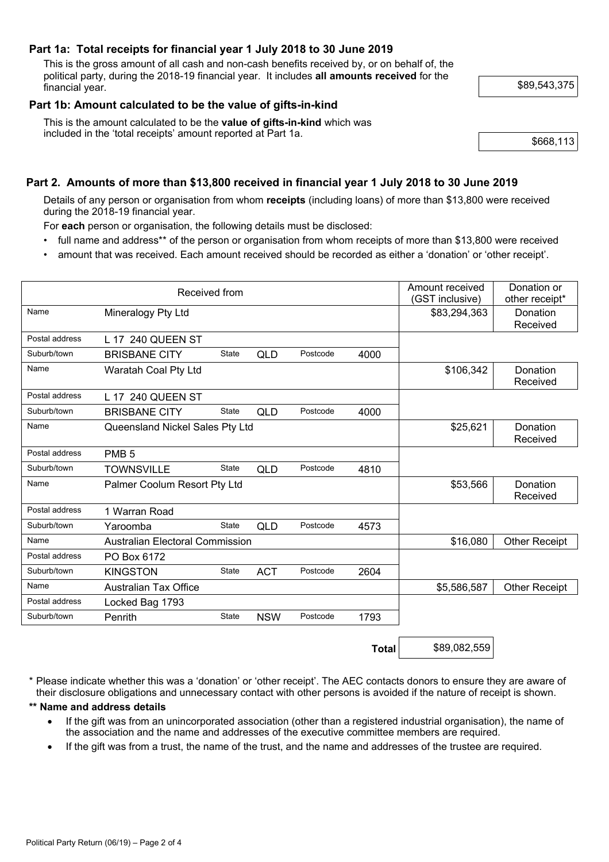## **Part 1a: Total receipts for financial year 1 July 2018 to 30 June 2019**

This is the gross amount of all cash and non-cash benefits received by, or on behalf of, the political party, during the 2018-19 financial year. It includes **all amounts received** for the financial year. \$89,543,375

## **Part 1b: Amount calculated to be the value of gifts-in-kind**

This is the amount calculated to be the **value of gifts-in-kind** which was included in the 'total receipts' amount reported at Part 1a. <br>\$668.113

# **Part 2. Amounts of more than \$13,800 received in financial year 1 July 2018 to 30 June 2019**

Details of any person or organisation from whom **receipts** (including loans) of more than \$13,800 were received during the 2018-19 financial year.

For **each** person or organisation, the following details must be disclosed:

- full name and address\*\* of the person or organisation from whom receipts of more than \$13,800 were received
- amount that was received. Each amount received should be recorded as either a 'donation' or 'other receipt'.

| Received from  |                                        |              |            |          | Amount received<br>(GST inclusive) | Donation or<br>other receipt* |                      |
|----------------|----------------------------------------|--------------|------------|----------|------------------------------------|-------------------------------|----------------------|
| Name           | Mineralogy Pty Ltd                     |              |            |          |                                    | \$83,294,363                  | Donation<br>Received |
| Postal address | L 17 240 QUEEN ST                      |              |            |          |                                    |                               |                      |
| Suburb/town    | <b>BRISBANE CITY</b>                   | <b>State</b> | <b>QLD</b> | Postcode | 4000                               |                               |                      |
| Name           | Waratah Coal Pty Ltd                   |              |            |          |                                    | \$106,342                     | Donation<br>Received |
| Postal address | L 17 240 QUEEN ST                      |              |            |          |                                    |                               |                      |
| Suburb/town    | <b>BRISBANE CITY</b>                   | State        | QLD        | Postcode | 4000                               |                               |                      |
| Name           | Queensland Nickel Sales Pty Ltd        |              |            |          | \$25,621                           | Donation<br>Received          |                      |
| Postal address | PMB <sub>5</sub>                       |              |            |          |                                    |                               |                      |
| Suburb/town    | <b>TOWNSVILLE</b>                      | State        | <b>QLD</b> | Postcode | 4810                               |                               |                      |
| Name           | Palmer Coolum Resort Pty Ltd           |              |            |          | \$53,566                           | Donation<br>Received          |                      |
| Postal address | 1 Warran Road                          |              |            |          |                                    |                               |                      |
| Suburb/town    | Yaroomba                               | <b>State</b> | <b>QLD</b> | Postcode | 4573                               |                               |                      |
| Name           | <b>Australian Electoral Commission</b> |              |            |          | \$16,080                           | <b>Other Receipt</b>          |                      |
| Postal address | PO Box 6172                            |              |            |          |                                    |                               |                      |
| Suburb/town    | <b>KINGSTON</b>                        | <b>State</b> | <b>ACT</b> | Postcode | 2604                               |                               |                      |
| Name           | <b>Australian Tax Office</b>           |              |            |          |                                    | \$5,586,587                   | <b>Other Receipt</b> |
| Postal address | Locked Bag 1793                        |              |            |          |                                    |                               |                      |
| Suburb/town    | Penrith                                | <b>State</b> | <b>NSW</b> | Postcode | 1793                               |                               |                      |
|                |                                        |              |            |          | <b>Total</b>                       | \$89,082,559                  |                      |

\* Please indicate whether this was a 'donation' or 'other receipt'. The AEC contacts donors to ensure they are aware of their disclosure obligations and unnecessary contact with other persons is avoided if the nature of receipt is shown.

#### **\*\* Name and address details**

- If the gift was from an unincorporated association (other than a registered industrial organisation), the name of the association and the name and addresses of the executive committee members are required.
- If the gift was from a trust, the name of the trust, and the name and addresses of the trustee are required.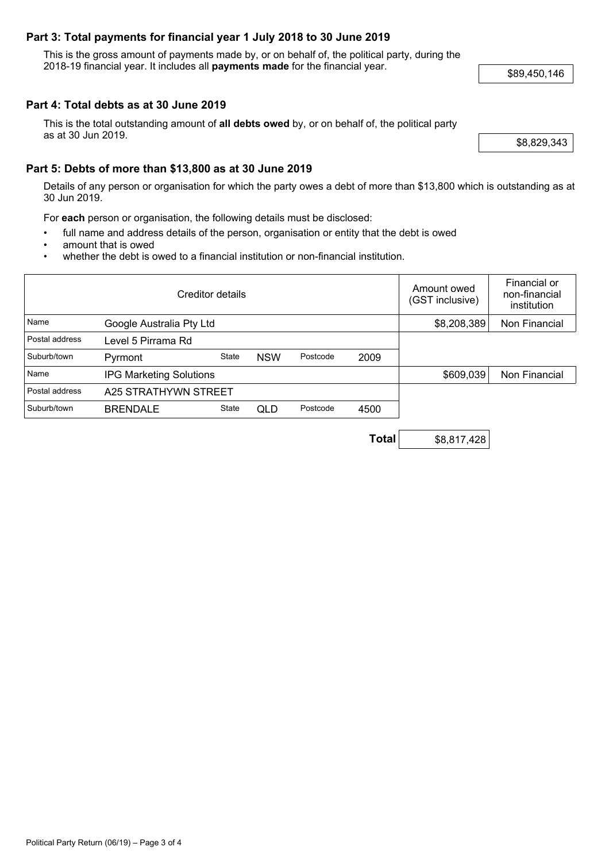## **Part 3: Total payments for financial year 1 July 2018 to 30 June 2019**

This is the gross amount of payments made by, or on behalf of, the political party, during the 2018-19 financial year. It includes all **payments made** for the financial year. \$89,450,146

## **Part 4: Total debts as at 30 June 2019**

This is the total outstanding amount of **all debts owed** by, or on behalf of, the political party as at 30 Jun 2019.  $\sqrt{88,829,343}$ 

## **Part 5: Debts of more than \$13,800 as at 30 June 2019**

Details of any person or organisation for which the party owes a debt of more than \$13,800 which is outstanding as at 30 Jun 2019.

For **each** person or organisation, the following details must be disclosed:

- full name and address details of the person, organisation or entity that the debt is owed
- amount that is owed
- whether the debt is owed to a financial institution or non-financial institution.

| Creditor details |                                |       |            |          | Amount owed<br>(GST inclusive) | Financial or<br>non-financial<br>institution |               |
|------------------|--------------------------------|-------|------------|----------|--------------------------------|----------------------------------------------|---------------|
| Name             | Google Australia Pty Ltd       |       |            |          |                                | \$8,208,389                                  | Non Financial |
| Postal address   | Level 5 Pirrama Rd             |       |            |          |                                |                                              |               |
| Suburb/town      | Pyrmont                        | State | <b>NSW</b> | Postcode | 2009                           |                                              |               |
| Name             | <b>IPG Marketing Solutions</b> |       |            |          | \$609,039                      | Non Financial                                |               |
| Postal address   | A25 STRATHYWN STREET           |       |            |          |                                |                                              |               |
| Suburb/town      | <b>BRENDALE</b>                | State | <b>QLD</b> | Postcode | 4500                           |                                              |               |

**Total** \$8,817,428